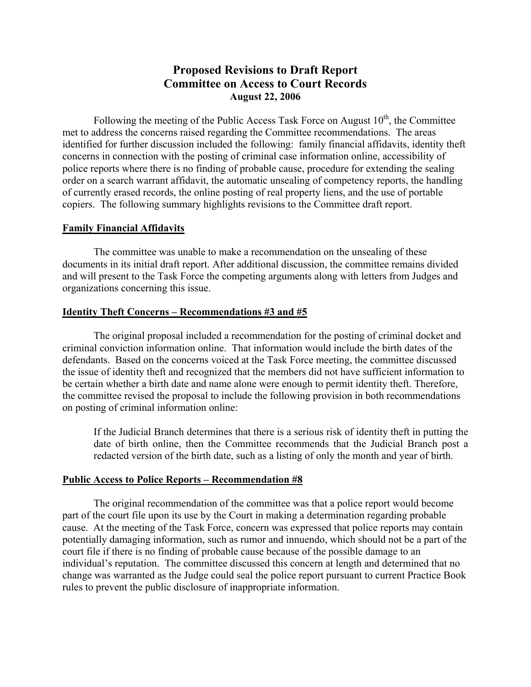# **Proposed Revisions to Draft Report Committee on Access to Court Records August 22, 2006**

Following the meeting of the Public Access Task Force on August  $10<sup>th</sup>$ , the Committee met to address the concerns raised regarding the Committee recommendations. The areas identified for further discussion included the following: family financial affidavits, identity theft concerns in connection with the posting of criminal case information online, accessibility of police reports where there is no finding of probable cause, procedure for extending the sealing order on a search warrant affidavit, the automatic unsealing of competency reports, the handling of currently erased records, the online posting of real property liens, and the use of portable copiers. The following summary highlights revisions to the Committee draft report.

#### **Family Financial Affidavits**

 The committee was unable to make a recommendation on the unsealing of these documents in its initial draft report. After additional discussion, the committee remains divided and will present to the Task Force the competing arguments along with letters from Judges and organizations concerning this issue.

#### **Identity Theft Concerns – Recommendations #3 and #5**

 The original proposal included a recommendation for the posting of criminal docket and criminal conviction information online. That information would include the birth dates of the defendants. Based on the concerns voiced at the Task Force meeting, the committee discussed the issue of identity theft and recognized that the members did not have sufficient information to be certain whether a birth date and name alone were enough to permit identity theft. Therefore, the committee revised the proposal to include the following provision in both recommendations on posting of criminal information online:

If the Judicial Branch determines that there is a serious risk of identity theft in putting the date of birth online, then the Committee recommends that the Judicial Branch post a redacted version of the birth date, such as a listing of only the month and year of birth.

#### **Public Access to Police Reports – Recommendation #8**

 The original recommendation of the committee was that a police report would become part of the court file upon its use by the Court in making a determination regarding probable cause. At the meeting of the Task Force, concern was expressed that police reports may contain potentially damaging information, such as rumor and innuendo, which should not be a part of the court file if there is no finding of probable cause because of the possible damage to an individual's reputation. The committee discussed this concern at length and determined that no change was warranted as the Judge could seal the police report pursuant to current Practice Book rules to prevent the public disclosure of inappropriate information.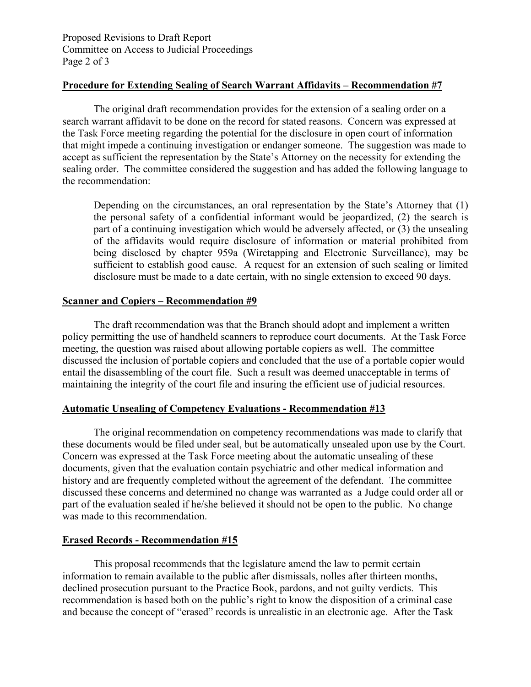Proposed Revisions to Draft Report Committee on Access to Judicial Proceedings Page 2 of 3

## **Procedure for Extending Sealing of Search Warrant Affidavits – Recommendation #7**

 The original draft recommendation provides for the extension of a sealing order on a search warrant affidavit to be done on the record for stated reasons. Concern was expressed at the Task Force meeting regarding the potential for the disclosure in open court of information that might impede a continuing investigation or endanger someone. The suggestion was made to accept as sufficient the representation by the State's Attorney on the necessity for extending the sealing order. The committee considered the suggestion and has added the following language to the recommendation:

Depending on the circumstances, an oral representation by the State's Attorney that (1) the personal safety of a confidential informant would be jeopardized, (2) the search is part of a continuing investigation which would be adversely affected, or (3) the unsealing of the affidavits would require disclosure of information or material prohibited from being disclosed by chapter 959a (Wiretapping and Electronic Surveillance), may be sufficient to establish good cause. A request for an extension of such sealing or limited disclosure must be made to a date certain, with no single extension to exceed 90 days.

## **Scanner and Copiers – Recommendation #9**

The draft recommendation was that the Branch should adopt and implement a written policy permitting the use of handheld scanners to reproduce court documents. At the Task Force meeting, the question was raised about allowing portable copiers as well. The committee discussed the inclusion of portable copiers and concluded that the use of a portable copier would entail the disassembling of the court file. Such a result was deemed unacceptable in terms of maintaining the integrity of the court file and insuring the efficient use of judicial resources.

## **Automatic Unsealing of Competency Evaluations - Recommendation #13**

The original recommendation on competency recommendations was made to clarify that these documents would be filed under seal, but be automatically unsealed upon use by the Court. Concern was expressed at the Task Force meeting about the automatic unsealing of these documents, given that the evaluation contain psychiatric and other medical information and history and are frequently completed without the agreement of the defendant. The committee discussed these concerns and determined no change was warranted as a Judge could order all or part of the evaluation sealed if he/she believed it should not be open to the public. No change was made to this recommendation.

## **Erased Records - Recommendation #15**

 This proposal recommends that the legislature amend the law to permit certain information to remain available to the public after dismissals, nolles after thirteen months, declined prosecution pursuant to the Practice Book, pardons, and not guilty verdicts. This recommendation is based both on the public's right to know the disposition of a criminal case and because the concept of "erased" records is unrealistic in an electronic age. After the Task